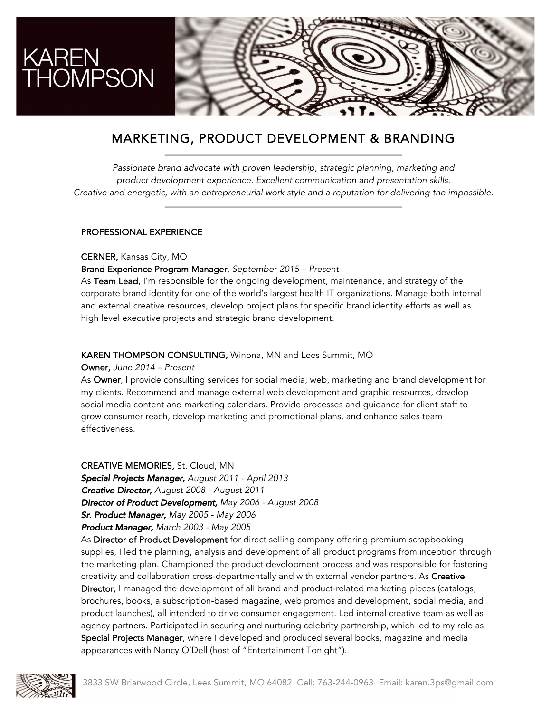

## MARKETING, PRODUCT DEVELOPMENT & BRANDING ——————————————————————

*Passionate brand advocate with proven leadership, strategic planning, marketing and product development experience. Excellent communication and presentation skills. Creative and energetic, with an entrepreneurial work style and a reputation for delivering the impossible.*

——————————————————————

#### PROFESSIONAL EXPERIENCE

CERNER, Kansas City, MO

#### Brand Experience Program Manager, *September 2015 – Present*

As Team Lead, I'm responsible for the ongoing development, maintenance, and strategy of the corporate brand identity for one of the world's largest health IT organizations. Manage both internal and external creative resources, develop project plans for specific brand identity efforts as well as high level executive projects and strategic brand development.

#### KAREN THOMPSON CONSULTING, Winona, MN and Lees Summit, MO

#### Owner, *June 2014 – Present*

As Owner, I provide consulting services for social media, web, marketing and brand development for my clients. Recommend and manage external web development and graphic resources, develop social media content and marketing calendars. Provide processes and guidance for client staff to grow consumer reach, develop marketing and promotional plans, and enhance sales team effectiveness.

CREATIVE MEMORIES, St. Cloud, MN *Special Projects Manager, August 2011 - April 2013 Creative Director, August 2008 - August 2011 Director of Product Development, May 2006 - August 2008 Sr. Product Manager, May 2005 - May 2006 Product Manager, March 2003 - May 2005*

As Director of Product Development for direct selling company offering premium scrapbooking supplies, I led the planning, analysis and development of all product programs from inception through the marketing plan. Championed the product development process and was responsible for fostering creativity and collaboration cross-departmentally and with external vendor partners. As Creative Director, I managed the development of all brand and product-related marketing pieces (catalogs, brochures, books, a subscription-based magazine, web promos and development, social media, and product launches), all intended to drive consumer engagement. Led internal creative team as well as agency partners. Participated in securing and nurturing celebrity partnership, which led to my role as Special Projects Manager, where I developed and produced several books, magazine and media appearances with Nancy O'Dell (host of "Entertainment Tonight").

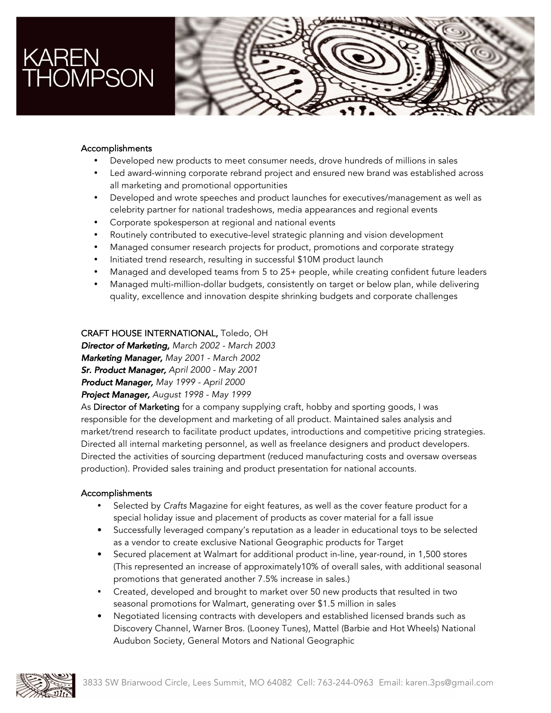# KAREN<br>THOMPSON



#### Accomplishments

- Developed new products to meet consumer needs, drove hundreds of millions in sales
- Led award-winning corporate rebrand project and ensured new brand was established across all marketing and promotional opportunities
- Developed and wrote speeches and product launches for executives/management as well as celebrity partner for national tradeshows, media appearances and regional events
- Corporate spokesperson at regional and national events
- Routinely contributed to executive-level strategic planning and vision development
- Managed consumer research projects for product, promotions and corporate strategy
- Initiated trend research, resulting in successful \$10M product launch
- Managed and developed teams from 5 to 25+ people, while creating confident future leaders
- Managed multi-million-dollar budgets, consistently on target or below plan, while delivering quality, excellence and innovation despite shrinking budgets and corporate challenges

#### CRAFT HOUSE INTERNATIONAL, Toledo, OH

*Director of Marketing, March 2002 - March 2003*

*Marketing Manager, May 2001 - March 2002*

*Sr. Product Manager, April 2000 - May 2001*

*Product Manager, May 1999 - April 2000* 

*Project Manager, August 1998 - May 1999* 

As Director of Marketing for a company supplying craft, hobby and sporting goods, I was responsible for the development and marketing of all product. Maintained sales analysis and market/trend research to facilitate product updates, introductions and competitive pricing strategies. Directed all internal marketing personnel, as well as freelance designers and product developers. Directed the activities of sourcing department (reduced manufacturing costs and oversaw overseas production). Provided sales training and product presentation for national accounts.

#### Accomplishments

- Selected by *Crafts* Magazine for eight features, as well as the cover feature product for a special holiday issue and placement of products as cover material for a fall issue
- Successfully leveraged company's reputation as a leader in educational toys to be selected as a vendor to create exclusive National Geographic products for Target
- Secured placement at Walmart for additional product in-line, year-round, in 1,500 stores (This represented an increase of approximately10% of overall sales, with additional seasonal promotions that generated another 7.5% increase in sales.)
- Created, developed and brought to market over 50 new products that resulted in two seasonal promotions for Walmart, generating over \$1.5 million in sales
- Negotiated licensing contracts with developers and established licensed brands such as Discovery Channel, Warner Bros. (Looney Tunes), Mattel (Barbie and Hot Wheels) National Audubon Society, General Motors and National Geographic